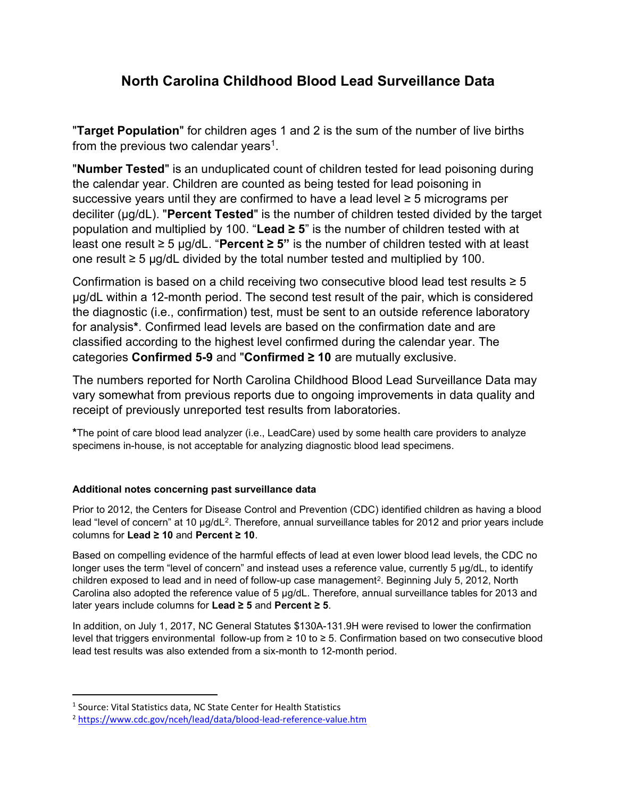## North Carolina Childhood Blood Lead Surveillance Data

**"Target Population"** for children ages 1 and 2 is the sum of the number of live births from the previous two calendar years $^1$ .

"Number Tested" is an unduplicated count of children tested for lead poisoning during the calendar year. Children are counted as being tested for lead poisoning in successive years until they are confirmed to have a lead level  $\geq$  5 micrograms per deciliter (µg/dL). "Percent Tested" is the number of children tested divided by the target population and multiplied by 100. "Lead  $\geq$  5" is the number of children tested with at least one result ≥ 5 µg/dL. "Percent ≥ 5" is the number of children tested with at least one result ≥ 5 µg/dL divided by the total number tested and multiplied by 100.

Confirmation is based on a child receiving two consecutive blood lead test results  $\geq 5$ µg/dL within a 12-month period. The second test result of the pair, which is considered the diagnostic (i.e., confirmation) test, must be sent to an outside reference laboratory for analysis\*. Confirmed lead levels are based on the confirmation date and are classified according to the highest level confirmed during the calendar year. The categories Confirmed 5-9 and "Confirmed ≥ 10 are mutually exclusive.

The numbers reported for North Carolina Childhood Blood Lead Surveillance Data may vary somewhat from previous reports due to ongoing improvements in data quality and receipt of previously unreported test results from laboratories.

\*The point of care blood lead analyzer (i.e., LeadCare) used by some health care providers to analyze specimens in-house, is not acceptable for analyzing diagnostic blood lead specimens.

## Additional notes concerning past surveillance data

Prior to 2012, the Centers for Disease Control and Prevention (CDC) identified children as having a blood lead "level of concern" at 10 µg/dL<sup>2</sup>. Therefore, annual surveillance tables for 2012 and prior years include columns for Lead ≥ 10 and Percent ≥ 10.

Based on compelling evidence of the harmful effects of lead at even lower blood lead levels, the CDC no longer uses the term "level of concern" and instead uses a reference value, currently 5 µg/dL, to identify children exposed to lead and in need of follow-up case management $^2$ . Beginning July 5, 2012, North Carolina also adopted the reference value of 5 µg/dL. Therefore, annual surveillance tables for 2013 and later years include columns for Lead ≥ 5 and Percent ≥ 5.

In addition, on July 1, 2017, NC General Statutes \$130A-131.9H were revised to lower the confirmation level that triggers environmental follow-up from ≥ 10 to ≥ 5. Confirmation based on two consecutive blood lead test results was also extended from a six-month to 12-month period.

<sup>&</sup>lt;sup>1</sup> Source: Vital Statistics data, NC State Center for Health Statistics

<sup>2</sup> https://www.cdc.gov/nceh/lead/data/blood-lead-reference-value.htm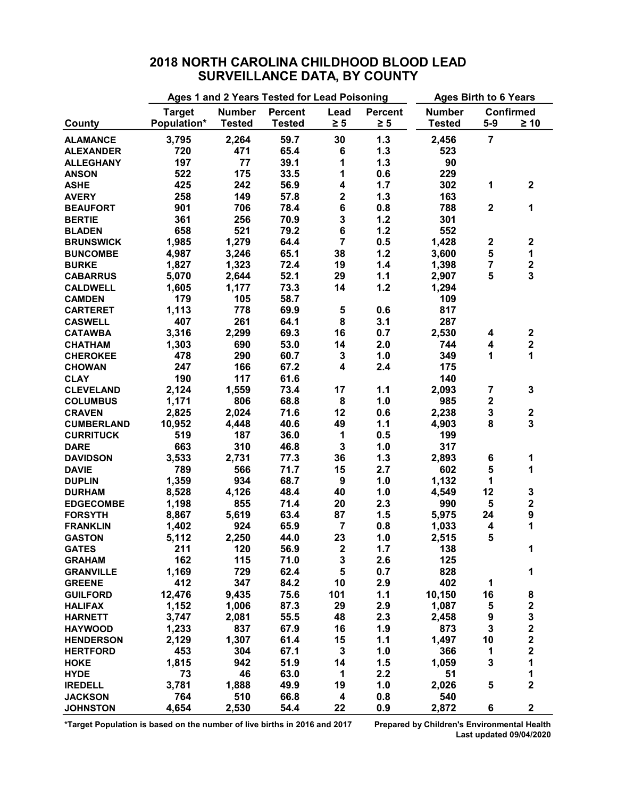|                   | Ages 1 and 2 Years Tested for Lead Poisoning | <b>Ages Birth to 6 Years</b>     |               |                         |                                   |               |                              |                                                 |
|-------------------|----------------------------------------------|----------------------------------|---------------|-------------------------|-----------------------------------|---------------|------------------------------|-------------------------------------------------|
|                   | <b>Target</b>                                | <b>Number</b><br>Percent<br>Lead |               | <b>Percent</b>          | <b>Number</b><br><b>Confirmed</b> |               |                              |                                                 |
| County            | Population*                                  | <b>Tested</b>                    | <b>Tested</b> | $\geq 5$                | $\geq 5$                          | <b>Tested</b> | $5-9$                        | $\geq 10$                                       |
| <b>ALAMANCE</b>   | 3,795                                        | 2,264                            | 59.7          | 30                      | 1.3                               | 2,456         | $\overline{7}$               |                                                 |
| <b>ALEXANDER</b>  | 720                                          | 471                              | 65.4          | 6                       | 1.3                               | 523           |                              |                                                 |
| <b>ALLEGHANY</b>  | 197                                          | 77                               | 39.1          | 1                       | 1.3                               | 90            |                              |                                                 |
| <b>ANSON</b>      | 522                                          | 175                              | 33.5          | 1                       | 0.6                               | 229           |                              |                                                 |
| <b>ASHE</b>       | 425                                          | 242                              | 56.9          | 4                       | 1.7                               | 302           | 1                            | $\mathbf 2$                                     |
| <b>AVERY</b>      | 258                                          | 149                              | 57.8          | $\overline{\mathbf{2}}$ | 1.3                               | 163           |                              |                                                 |
| <b>BEAUFORT</b>   | 901                                          | 706                              | 78.4          | 6                       | 0.8                               | 788           | $\mathbf 2$                  | 1                                               |
| <b>BERTIE</b>     | 361                                          | 256                              | 70.9          | 3                       | 1.2                               | 301           |                              |                                                 |
| <b>BLADEN</b>     | 658                                          | 521                              | 79.2          | 6                       | 1.2                               | 552           |                              |                                                 |
| <b>BRUNSWICK</b>  | 1,985                                        | 1,279                            | 64.4          | $\overline{7}$          | 0.5                               | 1,428         | $\boldsymbol{2}$             | $\mathbf 2$                                     |
| <b>BUNCOMBE</b>   | 4,987                                        | 3,246                            | 65.1          | 38                      | 1.2                               | 3,600         | 5                            | 1                                               |
| <b>BURKE</b>      | 1,827                                        | 1,323                            | 72.4          | 19                      | 1.4                               | 1,398         | 7                            | $\mathbf 2$                                     |
| <b>CABARRUS</b>   | 5,070                                        | 2,644                            | 52.1          | 29                      | 1.1                               | 2,907         | 5                            | $\overline{\mathbf{3}}$                         |
| <b>CALDWELL</b>   | 1,605                                        | 1,177                            | 73.3          | 14                      | 1.2                               | 1,294         |                              |                                                 |
|                   | 179                                          | 105                              | 58.7          |                         |                                   | 109           |                              |                                                 |
| <b>CAMDEN</b>     |                                              | 778                              | 69.9          |                         |                                   |               |                              |                                                 |
| <b>CARTERET</b>   | 1,113<br>407                                 | 261                              |               | 5<br>8                  | 0.6<br>3.1                        | 817<br>287    |                              |                                                 |
| <b>CASWELL</b>    |                                              |                                  | 64.1<br>69.3  | 16                      |                                   |               |                              |                                                 |
| <b>CATAWBA</b>    | 3,316                                        | 2,299                            |               |                         | 0.7                               | 2,530         | 4<br>$\overline{\mathbf{4}}$ | $\mathbf 2$                                     |
| <b>CHATHAM</b>    | 1,303                                        | 690                              | 53.0          | 14                      | 2.0                               | 744           |                              | $\mathbf 2$<br>1                                |
| <b>CHEROKEE</b>   | 478                                          | 290                              | 60.7          | 3                       | 1.0                               | 349           | 1                            |                                                 |
| <b>CHOWAN</b>     | 247                                          | 166                              | 67.2          | 4                       | 2.4                               | 175           |                              |                                                 |
| <b>CLAY</b>       | 190                                          | 117                              | 61.6          |                         |                                   | 140           |                              |                                                 |
| <b>CLEVELAND</b>  | 2,124                                        | 1,559                            | 73.4          | 17                      | 1.1                               | 2,093         | $\overline{\mathbf{7}}$      | $\mathbf 3$                                     |
| <b>COLUMBUS</b>   | 1,171                                        | 806                              | 68.8          | 8                       | 1.0                               | 985           | $\mathbf 2$                  |                                                 |
| <b>CRAVEN</b>     | 2,825                                        | 2,024                            | 71.6          | 12                      | 0.6                               | 2,238         | $\mathbf 3$                  | $\mathbf 2$                                     |
| <b>CUMBERLAND</b> | 10,952                                       | 4,448                            | 40.6          | 49                      | 1.1                               | 4,903         | 8                            | 3                                               |
| <b>CURRITUCK</b>  | 519                                          | 187                              | 36.0          | 1                       | 0.5                               | 199           |                              |                                                 |
| <b>DARE</b>       | 663                                          | 310                              | 46.8          | 3                       | 1.0                               | 317           |                              |                                                 |
| <b>DAVIDSON</b>   | 3,533                                        | 2,731                            | 77.3          | 36                      | 1.3                               | 2,893         | 6                            | 1                                               |
| <b>DAVIE</b>      | 789                                          | 566                              | 71.7          | 15                      | 2.7                               | 602           | 5                            | 1                                               |
| <b>DUPLIN</b>     | 1,359                                        | 934                              | 68.7          | 9                       | 1.0                               | 1,132         | 1                            |                                                 |
| <b>DURHAM</b>     | 8,528                                        | 4,126                            | 48.4          | 40                      | 1.0                               | 4,549         | 12                           | 3                                               |
| <b>EDGECOMBE</b>  | 1,198                                        | 855                              | 71.4          | 20                      | 2.3                               | 990           | $\sqrt{5}$                   | $\mathbf 2$                                     |
| <b>FORSYTH</b>    | 8,867                                        | 5,619                            | 63.4          | 87                      | 1.5                               | 5,975         | 24                           | 9                                               |
| <b>FRANKLIN</b>   | 1,402                                        | 924                              | 65.9          | 7                       | 0.8                               | 1,033         | 4                            | 1                                               |
| <b>GASTON</b>     | 5,112                                        | 2,250                            | 44.0          | 23                      | 1.0                               | 2,515         | 5                            |                                                 |
| <b>GATES</b>      | 211                                          | 120                              | 56.9          | $\mathbf 2$             | 1.7                               | 138           |                              | 1                                               |
| <b>GRAHAM</b>     | 162                                          | 115                              | 71.0          | 3                       | 2.6                               | 125           |                              |                                                 |
| <b>GRANVILLE</b>  | 1,169                                        | 729                              | 62.4          | 5                       | 0.7                               | 828           |                              | 1                                               |
| <b>GREENE</b>     | 412                                          | 347                              | 84.2          | 10                      | 2.9                               | 402           | 1                            |                                                 |
| <b>GUILFORD</b>   | 12,476                                       | 9,435                            | 75.6          | 101                     | 1.1                               | 10,150        | 16                           | 8                                               |
| <b>HALIFAX</b>    | 1,152                                        | 1,006                            | 87.3          | 29                      | 2.9                               | 1,087         | 5                            | $\mathbf 2$                                     |
| <b>HARNETT</b>    | 3,747                                        | 2,081                            | 55.5          | 48                      | 2.3                               | 2,458         | $\boldsymbol{9}$             |                                                 |
| <b>HAYWOOD</b>    | 1,233                                        | 837                              | 67.9          | 16                      | 1.9                               | 873           | 3                            |                                                 |
| <b>HENDERSON</b>  | 2,129                                        | 1,307                            | 61.4          | 15                      | 1.1                               | 1,497         | 10                           | $\begin{array}{c} 3 \\ 2 \\ 2 \\ 2 \end{array}$ |
| <b>HERTFORD</b>   | 453                                          | 304                              | 67.1          | 3                       | 1.0                               | 366           | 1                            |                                                 |
| <b>HOKE</b>       | 1,815                                        | 942                              | 51.9          | 14                      | 1.5                               | 1,059         | 3                            | $\mathbf{1}$                                    |
| <b>HYDE</b>       | 73                                           | 46                               | 63.0          | 1                       | 2.2                               | 51            |                              | 1                                               |
| <b>IREDELL</b>    | 3,781                                        | 1,888                            | 49.9          | 19                      | 1.0                               | 2,026         | 5                            | $\overline{\mathbf{2}}$                         |
| <b>JACKSON</b>    | 764                                          | 510                              | 66.8          | 4                       | 0.8                               | 540           |                              |                                                 |

JOHNSTON 4,654 2,530 54.4 22 0.9 2,872 6 2

## 2018 NORTH CAROLINA CHILDHOOD BLOOD LEAD SURVEILLANCE DATA, BY COUNTY

\*Target Population is based on the number of live births in 2016 and 2017 Prepared by Children's Environmental Health

Last updated 09/04/2020